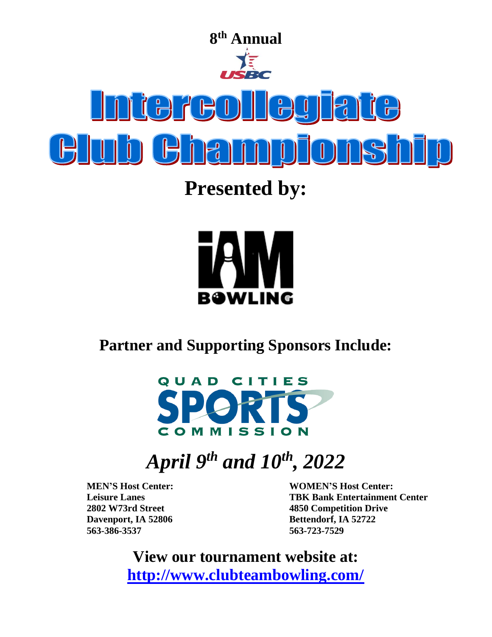

**Presented by:** 



**Partner and Supporting Sponsors Include:**



# *April 9 th and 10th, 2022*

**Davenport, IA 52806 Bettendorf, IA 52722 563-386-3537 563-723-7529**

**MEN'S Host Center: WOMEN'S Host Center: Leisure Lanes TBK Bank Entertainment Center 2802 W73rd Street 4850 Competition Drive**

> **View our tournament website at: <http://www.clubteambowling.com/>**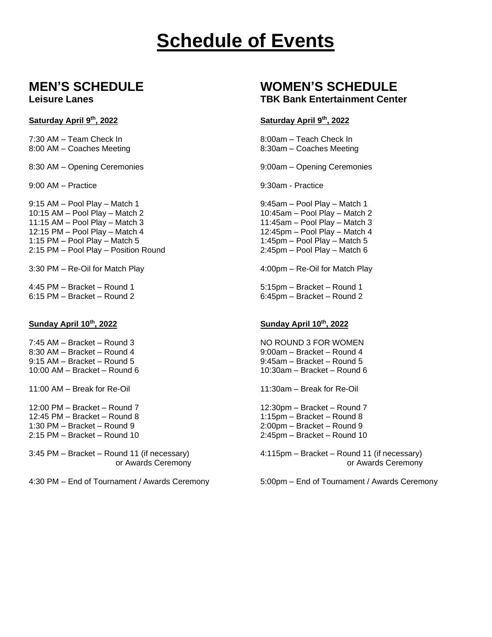# **Schedule of Events**

### Saturday April 9<sup>th</sup>, 2022

7:30 AM – Team Check In  $\overline{8:00am}$  – Teach Check In 8:00 AM – Coaches Meeting 8:30am – Coaches Meeting

8:30 AM – Opening Ceremonies 9:00am – Opening Ceremonies

9:00 AM – Practice 9:00 AM – Practice 9:00 AM – Practice 9:00 AM – Practice 9:00 AM – Practice 9:00 AM – Practice 9:00 AM – Practice 9:00 AM – Practice 9:00 AM – Practice 9:00 AM – Practice 9:00 AM – Practice 9:00 AM – Pra

9:15 AM – Pool Play – Match 1 and 1 9:45am – Pool Play – Match 1 10:15 AM – Pool Play – Match 2 10:45am – Pool Play – Match 2 11:15 AM – Pool Play – Match 3 11:45am – Pool Play – Match 3 12:15 PM – Pool Play – Match 4 12:45pm – Pool Play – Match 4 1:15 PM – Pool Play – Match 5 1:45pm – Pool Play – Match 5 2:15 PM – Pool Play – Position Round 2:45pm – Pool Play – Match 6

3:30 PM – Re-Oil for Match Play 4:00pm – Re-Oil for Match Play

4:45 PM – Bracket – Round 1 5:15pm – Bracket – Round 1

7:45 AM – Bracket – Round 3 NO ROUND 3 FOR WOMEN 8:30 AM – Bracket – Round 4 9:00am – Bracket – Round 4 9:15 AM – Bracket – Round 5 9:45am – Bracket – Round 5 10:00 AM – Bracket – Round 6 10:30am – Bracket – Round 6

11:00 AM – Break for Re-Oil 11:30am – Break for Re-Oil

12:00 PM – Bracket – Round 7 12:30pm – Bracket – Round 7 12:45 PM – Bracket – Round 8 1:15pm – Bracket – Round 8 1:30 PM – Bracket – Round 9 2:00pm – Bracket – Round 9 2:15 PM – Bracket – Round 10 2:45pm – Bracket – Round 10

4:30 PM – End of Tournament / Awards Ceremony 5:00pm – End of Tournament / Awards Ceremony

# **MEN'S SCHEDULE WOMEN'S SCHEDULE**

### **Leisure Lanes TBK Bank Entertainment Center**

### **th, 2022 Saturday April 9 th, 2022**

6:45pm – Bracket – Round 2

### **Sunday April 10th, 2022 Sunday April 10th, 2022**

3:45 PM – Bracket – Round 11 (if necessary) 4:115pm – Bracket – Round 11 (if necessary) or Awards Ceremony **or Awards Ceremony or Awards Ceremony**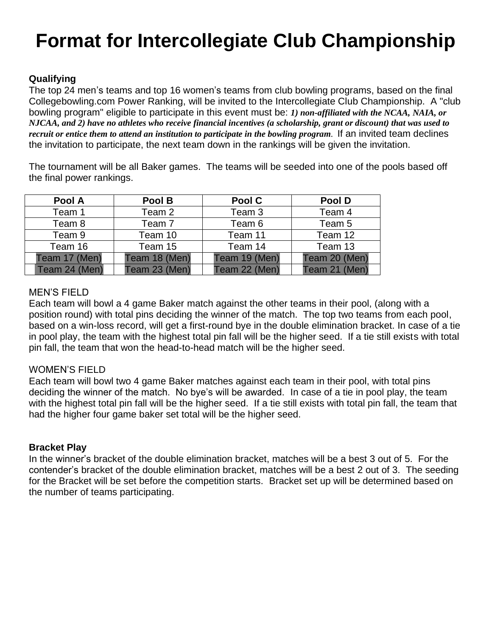# **Format for Intercollegiate Club Championship**

# **Qualifying**

The top 24 men's teams and top 16 women's teams from club bowling programs, based on the final Collegebowling.com Power Ranking, will be invited to the Intercollegiate Club Championship. A "club bowling program" eligible to participate in this event must be: *1) non-affiliated with the NCAA, NAIA, or NJCAA, and 2) have no athletes who receive financial incentives (a scholarship, grant or discount) that was used to recruit or entice them to attend an institution to participate in the bowling program*. If an invited team declines the invitation to participate, the next team down in the rankings will be given the invitation.

The tournament will be all Baker games. The teams will be seeded into one of the pools based off the final power rankings.

| Pool A        | Pool B        | Pool C            | Pool D        |
|---------------|---------------|-------------------|---------------|
| Team 1        | Team 2        | Team <sub>3</sub> | Team 4        |
| Team 8        | Team 7        | Team 6            | Team 5        |
| Team 9        | Team 10       | Team 11           | Team 12       |
| Team 16       | Team 15       | Team 14           | Team 13       |
| Team 17 (Men) | Team 18 (Men) | Team 19 (Men)     | Team 20 (Men) |
| Team 24 (Men) | Team 23 (Men) | Team 22 (Men)     | Team 21 (Men) |

# MEN'S FIELD

Each team will bowl a 4 game Baker match against the other teams in their pool, (along with a position round) with total pins deciding the winner of the match. The top two teams from each pool, based on a win-loss record, will get a first-round bye in the double elimination bracket. In case of a tie in pool play, the team with the highest total pin fall will be the higher seed. If a tie still exists with total pin fall, the team that won the head-to-head match will be the higher seed.

## WOMEN'S FIELD

Each team will bowl two 4 game Baker matches against each team in their pool, with total pins deciding the winner of the match. No bye's will be awarded. In case of a tie in pool play, the team with the highest total pin fall will be the higher seed. If a tie still exists with total pin fall, the team that had the higher four game baker set total will be the higher seed.

## **Bracket Play**

In the winner's bracket of the double elimination bracket, matches will be a best 3 out of 5. For the contender's bracket of the double elimination bracket, matches will be a best 2 out of 3. The seeding for the Bracket will be set before the competition starts. Bracket set up will be determined based on the number of teams participating.